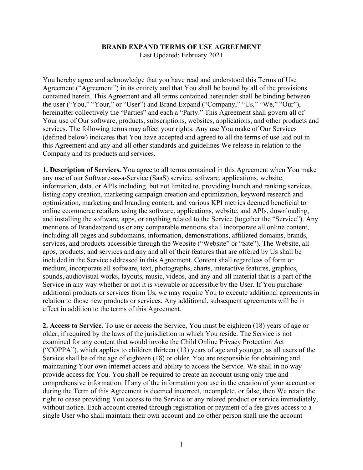## **BRAND EXPAND TERMS OF USE AGREEMENT**

Last Updated: February 2021

You hereby agree and acknowledge that you have read and understood this Terms of Use Agreement ("Agreement") in its entirety and that You shall be bound by all of the provisions contained herein. This Agreement and all terms contained hereunder shall be binding between the user ("You," "Your," or "User") and Brand Expand ("Company," "Us," "We," "Our"), hereinafter collectively the "Parties" and each a "Party." This Agreement shall govern all of Your use of Our software, products, subscriptions, websites, applications, and other products and services. The following terms may affect your rights. Any use You make of Our Services (defined below) indicates that You have accepted and agreed to all the terms of use laid out in this Agreement and any and all other standards and guidelines We release in relation to the Company and its products and services.

**1. Description of Services.** You agree to all terms contained in this Agreement when You make any use of our Software-as-a-Service (SaaS) service, software, applications, website, information, data, or APIs including, but not limited to, providing launch and ranking services, listing copy creation, marketing campaign creation and optimization, keyword research and optimization, marketing and branding content, and various KPI metrics deemed beneficial to online ecommerce retailers using the software, applications, website, and APIs, downloading, and installing the software, apps, or anything related to the Service (together the "Service"). Any mentions of Brandexpand.us or any comparable mentions shall incorporate all online content, including all pages and subdomains, information, demonstrations, affiliated domains, brands, services, and products accessible through the Website ("Website" or "Site"). The Website, all apps, products, and services and any and all of their features that are offered by Us shall be included in the Service addressed in this Agreement. Content shall regardless of form or medium, incorporate all software, text, photographs, charts, interactive features, graphics, sounds, audiovisual works, layouts, music, videos, and any and all material that is a part of the Service in any way whether or not it is viewable or accessible by the User. If You purchase additional products or services from Us, we may require You to execute additional agreements in relation to those new products or services. Any additional, subsequent agreements will be in effect in addition to the terms of this Agreement.

**2. Access to Service.** To use or access the Service, You must be eighteen (18) years of age or older, if required by the laws of the jurisdiction in which You reside. The Service is not examined for any content that would invoke the Child Online Privacy Protection Act ("COPPA"), which applies to children thirteen (13) years of age and younger, as all users of the Service shall be of the age of eighteen (18) or older. You are responsible for obtaining and maintaining Your own internet access and ability to access the Service. We shall in no way provide access for You. You shall be required to create an account using only true and comprehensive information. If any of the information you use in the creation of your account or during the Term of this Agreement is deemed incorrect, incomplete, or false, then We retain the right to cease providing You access to the Service or any related product or service immediately, without notice. Each account created through registration or payment of a fee gives access to a single User who shall maintain their own account and no other person shall use the account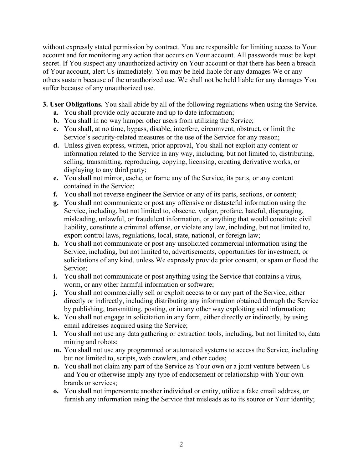without expressly stated permission by contract. You are responsible for limiting access to Your account and for monitoring any action that occurs on Your account. All passwords must be kept secret. If You suspect any unauthorized activity on Your account or that there has been a breach of Your account, alert Us immediately. You may be held liable for any damages We or any others sustain because of the unauthorized use. We shall not be held liable for any damages You suffer because of any unauthorized use.

- **3. User Obligations.** You shall abide by all of the following regulations when using the Service.
	- **a.** You shall provide only accurate and up to date information;
	- **b.** You shall in no way hamper other users from utilizing the Service;
	- **c.** You shall, at no time, bypass, disable, interfere, circumvent, obstruct, or limit the Service's security-related measures or the use of the Service for any reason;
	- **d.** Unless given express, written, prior approval, You shall not exploit any content or information related to the Service in any way, including, but not limited to, distributing, selling, transmitting, reproducing, copying, licensing, creating derivative works, or displaying to any third party;
	- **e.** You shall not mirror, cache, or frame any of the Service, its parts, or any content contained in the Service;
	- **f.** You shall not reverse engineer the Service or any of its parts, sections, or content;
	- **g.** You shall not communicate or post any offensive or distasteful information using the Service, including, but not limited to, obscene, vulgar, profane, hateful, disparaging, misleading, unlawful, or fraudulent information, or anything that would constitute civil liability, constitute a criminal offense, or violate any law, including, but not limited to, export control laws, regulations, local, state, national, or foreign law;
	- **h.** You shall not communicate or post any unsolicited commercial information using the Service, including, but not limited to, advertisements, opportunities for investment, or solicitations of any kind, unless We expressly provide prior consent, or spam or flood the Service;
	- **i.** You shall not communicate or post anything using the Service that contains a virus, worm, or any other harmful information or software;
	- **j.** You shall not commercially sell or exploit access to or any part of the Service, either directly or indirectly, including distributing any information obtained through the Service by publishing, transmitting, posting, or in any other way exploiting said information;
	- **k.** You shall not engage in solicitation in any form, either directly or indirectly, by using email addresses acquired using the Service;
	- **l.** You shall not use any data gathering or extraction tools, including, but not limited to, data mining and robots;
	- **m.** You shall not use any programmed or automated systems to access the Service, including but not limited to, scripts, web crawlers, and other codes;
	- **n.** You shall not claim any part of the Service as Your own or a joint venture between Us and You or otherwise imply any type of endorsement or relationship with Your own brands or services;
	- **o.** You shall not impersonate another individual or entity, utilize a fake email address, or furnish any information using the Service that misleads as to its source or Your identity;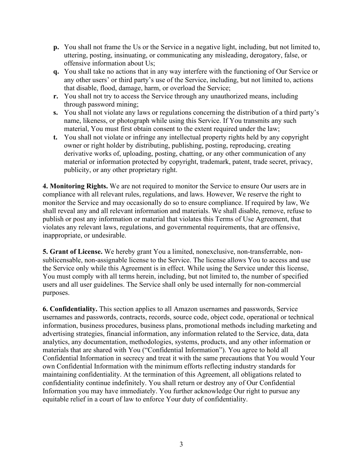- **p.** You shall not frame the Us or the Service in a negative light, including, but not limited to, uttering, posting, insinuating, or communicating any misleading, derogatory, false, or offensive information about Us;
- **q.** You shall take no actions that in any way interfere with the functioning of Our Service or any other users' or third party's use of the Service, including, but not limited to, actions that disable, flood, damage, harm, or overload the Service;
- **r.** You shall not try to access the Service through any unauthorized means, including through password mining;
- **s.** You shall not violate any laws or regulations concerning the distribution of a third party's name, likeness, or photograph while using this Service. If You transmits any such material, You must first obtain consent to the extent required under the law;
- **t.** You shall not violate or infringe any intellectual property rights held by any copyright owner or right holder by distributing, publishing, posting, reproducing, creating derivative works of, uploading, posting, chatting, or any other communication of any material or information protected by copyright, trademark, patent, trade secret, privacy, publicity, or any other proprietary right.

**4. Monitoring Rights.** We are not required to monitor the Service to ensure Our users are in compliance with all relevant rules, regulations, and laws. However, We reserve the right to monitor the Service and may occasionally do so to ensure compliance. If required by law, We shall reveal any and all relevant information and materials. We shall disable, remove, refuse to publish or post any information or material that violates this Terms of Use Agreement, that violates any relevant laws, regulations, and governmental requirements, that are offensive, inappropriate, or undesirable.

**5. Grant of License.** We hereby grant You a limited, nonexclusive, non-transferrable, nonsublicensable, non-assignable license to the Service. The license allows You to access and use the Service only while this Agreement is in effect. While using the Service under this license, You must comply with all terms herein, including, but not limited to, the number of specified users and all user guidelines. The Service shall only be used internally for non-commercial purposes.

**6. Confidentiality.** This section applies to all Amazon usernames and passwords, Service usernames and passwords, contracts, records, source code, object code, operational or technical information, business procedures, business plans, promotional methods including marketing and advertising strategies, financial information, any information related to the Service, data, data analytics, any documentation, methodologies, systems, products, and any other information or materials that are shared with You ("Confidential Information"). You agree to hold all Confidential Information in secrecy and treat it with the same precautions that You would Your own Confidential Information with the minimum efforts reflecting industry standards for maintaining confidentiality. At the termination of this Agreement, all obligations related to confidentiality continue indefinitely. You shall return or destroy any of Our Confidential Information you may have immediately. You further acknowledge Our right to pursue any equitable relief in a court of law to enforce Your duty of confidentiality.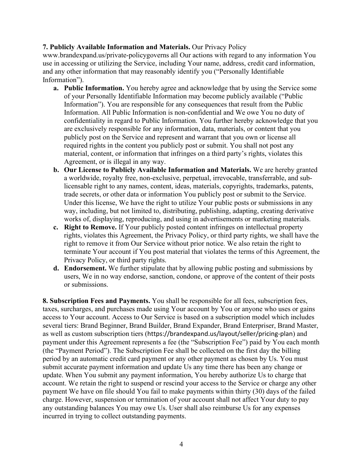## **7. Publicly Available Information and Materials.** Our Privacy Policy

www.brandexpand.us/private-policygoverns all Our actions with regard to any information You use in accessing or utilizing the Service, including Your name, address, credit card information, and any other information that may reasonably identify you ("Personally Identifiable Information").

- **a. Public Information.** You hereby agree and acknowledge that by using the Service some of your Personally Identifiable Information may become publicly available ("Public Information"). You are responsible for any consequences that result from the Public Information. All Public Information is non-confidential and We owe You no duty of confidentiality in regard to Public Information. You further hereby acknowledge that you are exclusively responsible for any information, data, materials, or content that you publicly post on the Service and represent and warrant that you own or license all required rights in the content you publicly post or submit. You shall not post any material, content, or information that infringes on a third party's rights, violates this Agreement, or is illegal in any way.
- **b. Our License to Publicly Available Information and Materials.** We are hereby granted a worldwide, royalty free, non-exclusive, perpetual, irrevocable, transferrable, and sublicensable right to any names, content, ideas, materials, copyrights, trademarks, patents, trade secrets, or other data or information You publicly post or submit to the Service. Under this license, We have the right to utilize Your public posts or submissions in any way, including, but not limited to, distributing, publishing, adapting, creating derivative works of, displaying, reproducing, and using in advertisements or marketing materials.
- **c. Right to Remove.** If Your publicly posted content infringes on intellectual property rights, violates this Agreement, the Privacy Policy, or third party rights, we shall have the right to remove it from Our Service without prior notice. We also retain the right to terminate Your account if You post material that violates the terms of this Agreement, the Privacy Policy, or third party rights.
- **d. Endorsement.** We further stipulate that by allowing public posting and submissions by users, We in no way endorse, sanction, condone, or approve of the content of their posts or submissions.

**8. Subscription Fees and Payments.** You shall be responsible for all fees, subscription fees, taxes, surcharges, and purchases made using Your account by You or anyone who uses or gains access to Your account. Access to Our Service is based on a subscription model which includes several tiers: Brand Beginner, Brand Builder, Brand Expander, Brand Enterpriser, Brand Master, as well as custom subscription tiers (https://brandexpand.us/layout/seller/pricing-plan) and payment under this Agreement represents a fee (the "Subscription Fee") paid by You each month (the "Payment Period"). The Subscription Fee shall be collected on the first day the billing period by an automatic credit card payment or any other payment as chosen by Us. You must submit accurate payment information and update Us any time there has been any change or update. When You submit any payment information, You hereby authorize Us to charge that account. We retain the right to suspend or rescind your access to the Service or charge any other payment We have on file should You fail to make payments within thirty (30) days of the failed charge. However, suspension or termination of your account shall not affect Your duty to pay any outstanding balances You may owe Us. User shall also reimburse Us for any expenses incurred in trying to collect outstanding payments.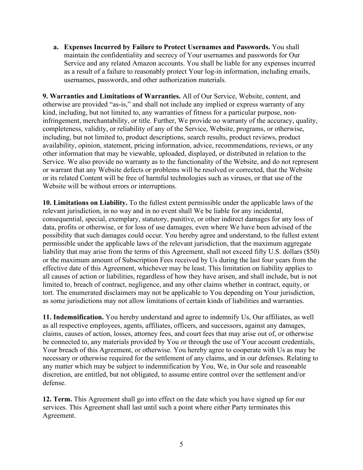**a. Expenses Incurred by Failure to Protect Usernames and Passwords.** You shall maintain the confidentiality and secrecy of Your usernames and passwords for Our Service and any related Amazon accounts. You shall be liable for any expenses incurred as a result of a failure to reasonably protect Your log-in information, including emails, usernames, passwords, and other authorization materials.

**9. Warranties and Limitations of Warranties.** All of Our Service, Website, content, and otherwise are provided "as-is," and shall not include any implied or express warranty of any kind, including, but not limited to, any warranties of fitness for a particular purpose, noninfringement, merchantability, or title. Further, We provide no warranty of the accuracy, quality, completeness, validity, or reliability of any of the Service, Website, programs, or otherwise, including, but not limited to, product descriptions, search results, product reviews, product availability, opinion, statement, pricing information, advice, recommendations, reviews, or any other information that may be viewable, uploaded, displayed, or distributed in relation to the Service. We also provide no warranty as to the functionality of the Website, and do not represent or warrant that any Website defects or problems will be resolved or corrected, that the Website or its related Content will be free of harmful technologies such as viruses, or that use of the Website will be without errors or interruptions.

**10. Limitations on Liability.** To the fullest extent permissible under the applicable laws of the relevant jurisdiction, in no way and in no event shall We be liable for any incidental, consequential, special, exemplary, statutory, punitive, or other indirect damages for any loss of data, profits or otherwise, or for loss of use damages, even where We have been advised of the possibility that such damages could occur. You hereby agree and understand, to the fullest extent permissible under the applicable laws of the relevant jurisdiction, that the maximum aggregate liability that may arise from the terms of this Agreement, shall not exceed fifty U.S. dollars (\$50) or the maximum amount of Subscription Fees received by Us during the last four years from the effective date of this Agreement, whichever may be least. This limitation on liability applies to all causes of action or liabilities, regardless of how they have arisen, and shall include, but is not limited to, breach of contract, negligence, and any other claims whether in contract, equity, or tort. The enumerated disclaimers may not be applicable to You depending on Your jurisdiction, as some jurisdictions may not allow limitations of certain kinds of liabilities and warranties.

**11. Indemnification.** You hereby understand and agree to indemnify Us, Our affiliates, as well as all respective employees, agents, affiliates, officers, and successors, against any damages, claims, causes of action, losses, attorney fees, and court fees that may arise out of, or otherwise be connected to, any materials provided by You or through the use of Your account credentials, Your breach of this Agreement, or otherwise. You hereby agree to cooperate with Us as may be necessary or otherwise required for the settlement of any claims, and in our defenses. Relating to any matter which may be subject to indemnification by You, We, in Our sole and reasonable discretion, are entitled, but not obligated, to assume entire control over the settlement and/or defense.

**12. Term.** This Agreement shall go into effect on the date which you have signed up for our services. This Agreement shall last until such a point where either Party terminates this Agreement.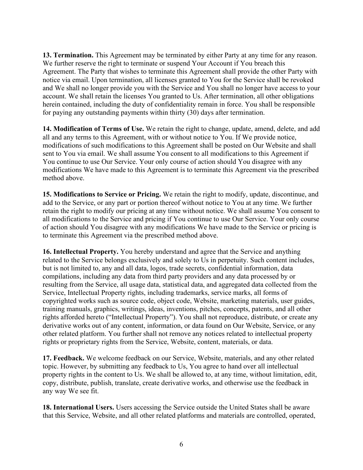**13. Termination.** This Agreement may be terminated by either Party at any time for any reason. We further reserve the right to terminate or suspend Your Account if You breach this Agreement. The Party that wishes to terminate this Agreement shall provide the other Party with notice via email. Upon termination, all licenses granted to You for the Service shall be revoked and We shall no longer provide you with the Service and You shall no longer have access to your account. We shall retain the licenses You granted to Us. After termination, all other obligations herein contained, including the duty of confidentiality remain in force. You shall be responsible for paying any outstanding payments within thirty (30) days after termination.

**14. Modification of Terms of Use.** We retain the right to change, update, amend, delete, and add all and any terms to this Agreement, with or without notice to You. If We provide notice, modifications of such modifications to this Agreement shall be posted on Our Website and shall sent to You via email. We shall assume You consent to all modifications to this Agreement if You continue to use Our Service. Your only course of action should You disagree with any modifications We have made to this Agreement is to terminate this Agreement via the prescribed method above.

**15. Modifications to Service or Pricing.** We retain the right to modify, update, discontinue, and add to the Service, or any part or portion thereof without notice to You at any time. We further retain the right to modify our pricing at any time without notice. We shall assume You consent to all modifications to the Service and pricing if You continue to use Our Service. Your only course of action should You disagree with any modifications We have made to the Service or pricing is to terminate this Agreement via the prescribed method above.

**16. Intellectual Property.** You hereby understand and agree that the Service and anything related to the Service belongs exclusively and solely to Us in perpetuity. Such content includes, but is not limited to, any and all data, logos, trade secrets, confidential information, data compilations, including any data from third party providers and any data processed by or resulting from the Service, all usage data, statistical data, and aggregated data collected from the Service, Intellectual Property rights, including trademarks, service marks, all forms of copyrighted works such as source code, object code, Website, marketing materials, user guides, training manuals, graphics, writings, ideas, inventions, pitches, concepts, patents, and all other rights afforded hereto ("Intellectual Property"). You shall not reproduce, distribute, or create any derivative works out of any content, information, or data found on Our Website, Service, or any other related platform. You further shall not remove any notices related to intellectual property rights or proprietary rights from the Service, Website, content, materials, or data.

**17. Feedback.** We welcome feedback on our Service, Website, materials, and any other related topic. However, by submitting any feedback to Us, You agree to hand over all intellectual property rights in the content to Us. We shall be allowed to, at any time, without limitation, edit, copy, distribute, publish, translate, create derivative works, and otherwise use the feedback in any way We see fit.

**18. International Users.** Users accessing the Service outside the United States shall be aware that this Service, Website, and all other related platforms and materials are controlled, operated,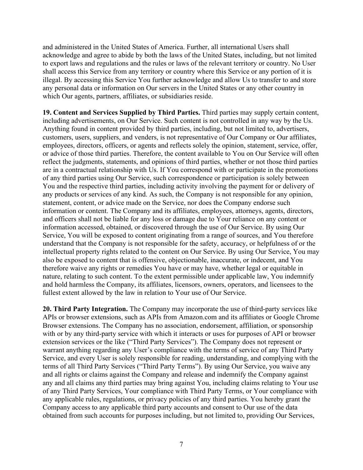and administered in the United States of America. Further, all international Users shall acknowledge and agree to abide by both the laws of the United States, including, but not limited to export laws and regulations and the rules or laws of the relevant territory or country. No User shall access this Service from any territory or country where this Service or any portion of it is illegal. By accessing this Service You further acknowledge and allow Us to transfer to and store any personal data or information on Our servers in the United States or any other country in which Our agents, partners, affiliates, or subsidiaries reside.

**19. Content and Services Supplied by Third Parties.** Third parties may supply certain content, including advertisements, on Our Service. Such content is not controlled in any way by the Us. Anything found in content provided by third parties, including, but not limited to, advertisers, customers, users, suppliers, and venders, is not representative of Our Company or Our affiliates, employees, directors, officers, or agents and reflects solely the opinion, statement, service, offer, or advice of those third parties. Therefore, the content available to You on Our Service will often reflect the judgments, statements, and opinions of third parties, whether or not those third parties are in a contractual relationship with Us. If You correspond with or participate in the promotions of any third parties using Our Service, such correspondence or participation is solely between You and the respective third parties, including activity involving the payment for or delivery of any products or services of any kind. As such, the Company is not responsible for any opinion, statement, content, or advice made on the Service, nor does the Company endorse such information or content. The Company and its affiliates, employees, attorneys, agents, directors, and officers shall not be liable for any loss or damage due to Your reliance on any content or information accessed, obtained, or discovered through the use of Our Service. By using Our Service, You will be exposed to content originating from a range of sources, and You therefore understand that the Company is not responsible for the safety, accuracy, or helpfulness of or the intellectual property rights related to the content on Our Service. By using Our Service, You may also be exposed to content that is offensive, objectionable, inaccurate, or indecent, and You therefore waive any rights or remedies You have or may have, whether legal or equitable in nature, relating to such content. To the extent permissible under applicable law, You indemnify and hold harmless the Company, its affiliates, licensors, owners, operators, and licensees to the fullest extent allowed by the law in relation to Your use of Our Service.

**20. Third Party Integration.** The Company may incorporate the use of third-party services like APIs or browser extensions, such as APIs from Amazon.com and its affiliates or Google Chrome Browser extensions. The Company has no association, endorsement, affiliation, or sponsorship with or by any third-party service with which it interacts or uses for purposes of API or browser extension services or the like ("Third Party Services"). The Company does not represent or warrant anything regarding any User's compliance with the terms of service of any Third Party Service, and every User is solely responsible for reading, understanding, and complying with the terms of all Third Party Services ("Third Party Terms"). By using Our Service, you waive any and all rights or claims against the Company and release and indemnify the Company against any and all claims any third parties may bring against You, including claims relating to Your use of any Third Party Services, Your compliance with Third Party Terms, or Your compliance with any applicable rules, regulations, or privacy policies of any third parties. You hereby grant the Company access to any applicable third party accounts and consent to Our use of the data obtained from such accounts for purposes including, but not limited to, providing Our Services,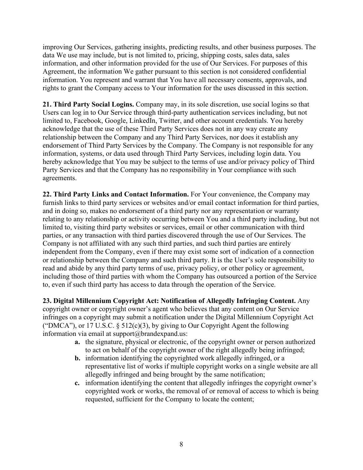improving Our Services, gathering insights, predicting results, and other business purposes. The data We use may include, but is not limited to, pricing, shipping costs, sales data, sales information, and other information provided for the use of Our Services. For purposes of this Agreement, the information We gather pursuant to this section is not considered confidential information. You represent and warrant that You have all necessary consents, approvals, and rights to grant the Company access to Your information for the uses discussed in this section.

**21. Third Party Social Logins.** Company may, in its sole discretion, use social logins so that Users can log in to Our Service through third-party authentication services including, but not limited to, Facebook, Google, LinkedIn, Twitter, and other account credentials. You hereby acknowledge that the use of these Third Party Services does not in any way create any relationship between the Company and any Third Party Services, nor does it establish any endorsement of Third Party Services by the Company. The Company is not responsible for any information, systems, or data used through Third Party Services, including login data. You hereby acknowledge that You may be subject to the terms of use and/or privacy policy of Third Party Services and that the Company has no responsibility in Your compliance with such agreements.

**22. Third Party Links and Contact Information.** For Your convenience, the Company may furnish links to third party services or websites and/or email contact information for third parties, and in doing so, makes no endorsement of a third party nor any representation or warranty relating to any relationship or activity occurring between You and a third party including, but not limited to, visiting third party websites or services, email or other communication with third parties, or any transaction with third parties discovered through the use of Our Services. The Company is not affiliated with any such third parties, and such third parties are entirely independent from the Company, even if there may exist some sort of indication of a connection or relationship between the Company and such third party. It is the User's sole responsibility to read and abide by any third party terms of use, privacy policy, or other policy or agreement, including those of third parties with whom the Company has outsourced a portion of the Service to, even if such third party has access to data through the operation of the Service.

**23. Digital Millennium Copyright Act: Notification of Allegedly Infringing Content.** Any copyright owner or copyright owner's agent who believes that any content on Our Service infringes on a copyright may submit a notification under the Digital Millennium Copyright Act ("DMCA"), or 17 U.S.C.  $\S$  512(c)(3), by giving to Our Copyright Agent the following information via email at support@brandexpand.us:

- **a.** the signature, physical or electronic, of the copyright owner or person authorized to act on behalf of the copyright owner of the right allegedly being infringed;
- **b.** information identifying the copyrighted work allegedly infringed, or a representative list of works if multiple copyright works on a single website are all allegedly infringed and being brought by the same notification;
- **c.** information identifying the content that allegedly infringes the copyright owner's copyrighted work or works, the removal of or removal of access to which is being requested, sufficient for the Company to locate the content;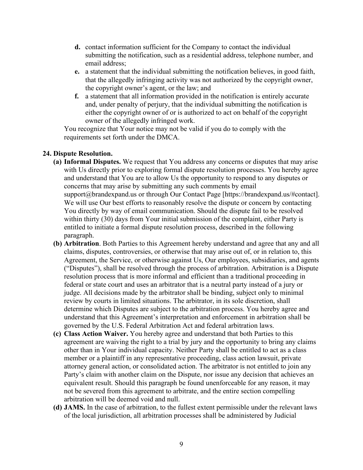- **d.** contact information sufficient for the Company to contact the individual submitting the notification, such as a residential address, telephone number, and email address;
- **e.** a statement that the individual submitting the notification believes, in good faith, that the allegedly infringing activity was not authorized by the copyright owner, the copyright owner's agent, or the law; and
- **f.** a statement that all information provided in the notification is entirely accurate and, under penalty of perjury, that the individual submitting the notification is either the copyright owner of or is authorized to act on behalf of the copyright owner of the allegedly infringed work.

You recognize that Your notice may not be valid if you do to comply with the requirements set forth under the DMCA.

## **24. Dispute Resolution.**

- **(a) Informal Disputes.** We request that You address any concerns or disputes that may arise with Us directly prior to exploring formal dispute resolution processes. You hereby agree and understand that You are to allow Us the opportunity to respond to any disputes or concerns that may arise by submitting any such comments by email support@brandexpand.us or through Our Contact Page [https://brandexpand.us/#contact]. We will use Our best efforts to reasonably resolve the dispute or concern by contacting You directly by way of email communication. Should the dispute fail to be resolved within thirty (30) days from Your initial submission of the complaint, either Party is entitled to initiate a formal dispute resolution process, described in the following paragraph.
- **(b) Arbitration**. Both Parties to this Agreement hereby understand and agree that any and all claims, disputes, controversies, or otherwise that may arise out of, or in relation to, this Agreement, the Service, or otherwise against Us, Our employees, subsidiaries, and agents ("Disputes"), shall be resolved through the process of arbitration. Arbitration is a Dispute resolution process that is more informal and efficient than a traditional proceeding in federal or state court and uses an arbitrator that is a neutral party instead of a jury or judge. All decisions made by the arbitrator shall be binding, subject only to minimal review by courts in limited situations. The arbitrator, in its sole discretion, shall determine which Disputes are subject to the arbitration process. You hereby agree and understand that this Agreement's interpretation and enforcement in arbitration shall be governed by the U.S. Federal Arbitration Act and federal arbitration laws.
- **(c) Class Action Waiver.** You hereby agree and understand that both Parties to this agreement are waiving the right to a trial by jury and the opportunity to bring any claims other than in Your individual capacity. Neither Party shall be entitled to act as a class member or a plaintiff in any representative proceeding, class action lawsuit, private attorney general action, or consolidated action. The arbitrator is not entitled to join any Party's claim with another claim on the Dispute, nor issue any decision that achieves an equivalent result. Should this paragraph be found unenforceable for any reason, it may not be severed from this agreement to arbitrate, and the entire section compelling arbitration will be deemed void and null.
- **(d) JAMS.** In the case of arbitration, to the fullest extent permissible under the relevant laws of the local jurisdiction, all arbitration processes shall be administered by Judicial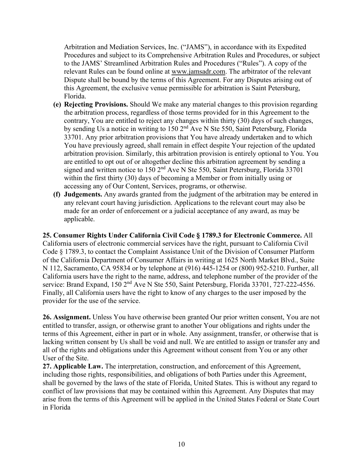Arbitration and Mediation Services, Inc. ("JAMS"), in accordance with its Expedited Procedures and subject to its Comprehensive Arbitration Rules and Procedures, or subject to the JAMS' Streamlined Arbitration Rules and Procedures ("Rules"). A copy of the relevant Rules can be found online at [www.jamsadr.com.](http://www.jamsadr.com/) The arbitrator of the relevant Dispute shall be bound by the terms of this Agreement. For any Disputes arising out of this Agreement, the exclusive venue permissible for arbitration is Saint Petersburg, Florida.

- **(e) Rejecting Provisions.** Should We make any material changes to this provision regarding the arbitration process, regardless of those terms provided for in this Agreement to the contrary, You are entitled to reject any changes within thirty (30) days of such changes, by sending Us a notice in writing to 150 2<sup>nd</sup> Ave N Ste 550, Saint Petersburg, Florida 33701. Any prior arbitration provisions that You have already undertaken and to which You have previously agreed, shall remain in effect despite Your rejection of the updated arbitration provision. Similarly, this arbitration provision is entirely optional to You. You are entitled to opt out of or altogether decline this arbitration agreement by sending a signed and written notice to 150 2<sup>nd</sup> Ave N Ste 550, Saint Petersburg, Florida 33701 within the first thirty (30) days of becoming a Member or from initially using or accessing any of Our Content, Services, programs, or otherwise.
- **(f) Judgements.** Any awards granted from the judgment of the arbitration may be entered in any relevant court having jurisdiction. Applications to the relevant court may also be made for an order of enforcement or a judicial acceptance of any award, as may be applicable.

**25. Consumer Rights Under California Civil Code § 1789.3 for Electronic Commerce.** All California users of electronic commercial services have the right, pursuant to California Civil Code § 1789.3, to contact the Complaint Assistance Unit of the Division of Consumer Platform of the California Department of Consumer Affairs in writing at 1625 North Market Blvd., Suite N 112, Sacramento, CA 95834 or by telephone at (916) 445-1254 or (800) 952-5210. Further, all California users have the right to the name, address, and telephone number of the provider of the service: Brand Expand, 150 2<sup>nd</sup> Ave N Ste 550, Saint Petersburg, Florida 33701, 727-222-4556. Finally, all California users have the right to know of any charges to the user imposed by the provider for the use of the service.

**26. Assignment.** Unless You have otherwise been granted Our prior written consent, You are not entitled to transfer, assign, or otherwise grant to another Your obligations and rights under the terms of this Agreement, either in part or in whole. Any assignment, transfer, or otherwise that is lacking written consent by Us shall be void and null. We are entitled to assign or transfer any and all of the rights and obligations under this Agreement without consent from You or any other User of the Site.

**27. Applicable Law.** The interpretation, construction, and enforcement of this Agreement, including those rights, responsibilities, and obligations of both Parties under this Agreement, shall be governed by the laws of the state of Florida, United States. This is without any regard to conflict of law provisions that may be contained within this Agreement. Any Disputes that may arise from the terms of this Agreement will be applied in the United States Federal or State Court in Florida